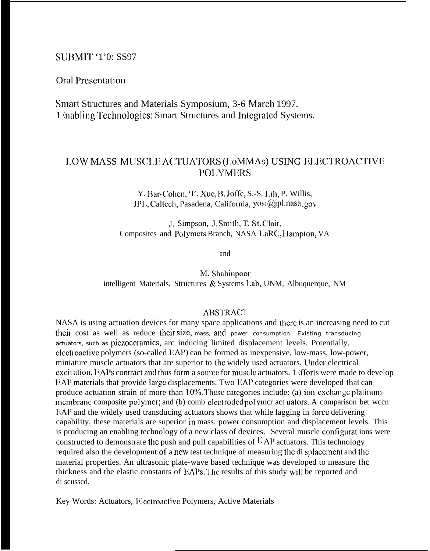## **SUBMIT '1'0: SS97**

**Oral Presentation** 

Smart Structures and Materials Symposium, 3-6 March 1997. 1 mabling Technologies: Smart Structures and Integrated Systems.

## LOW MASS MUSCLE ACTUATORS (LoMMAs) USING ELECTROACTIVE **POLYMERS**

Y. Bar-Cohen, T. Xue, B. Joffe, S.-S. Lih, P. Willis, JPL, Caltech, Pasadena, California, yosi@jpl.nasa.gov

J. Simpson, J. Smith, T. St. Clair, Composites and Polymers Branch, NASA LaRC, Hampton, VA

and

M. Shahinpoor intelligent Materials, Structures & Systems Lab, UNM, Albuquerque, NM

## **ABSTRACT**

NASA is using actuation devices for many space applications and there is an increasing need to cut their cost as well as reduce their size, mass, and power consumption. Existing transducing actuators, such as piezoccramics, arc inducing limited displacement levels. Potentially, electroactive polymers (so-called EAP) can be formed as inexpensive, low-mass, low-power, miniature muscle actuators that are superior to the widely used actuators. Under electrical excitation, EAPs contract and thus form a source for muscle actuators. 1 Efforts were made to develop EAP materials that provide large displacements. Two EAP categories were developed that can produce actuation strain of more than 10%. These categories include: (a) ion-exchange platinummembrane composite polymer; and (b) comb electroded polymer act uators. A comparison bet ween EAP and the widely used transducing actuators shows that while lagging in force delivering capability, these materials are superior in mass, power consumption and displacement levels. This is producing an enabling technology of a new class of devices. Several muscle configurat ions were constructed to demonstrate the push and pull capabilities of  $FAP$  actuators. This technology required also the development of a new test technique of measuring the displacement and the material properties. An ultrasonic plate-wave based technique was developed to measure the thickness and the elastic constants of EAPs. The results of this study will be reported and di scussed

Key Words: Actuators, Electroactive Polymers, Active Materials